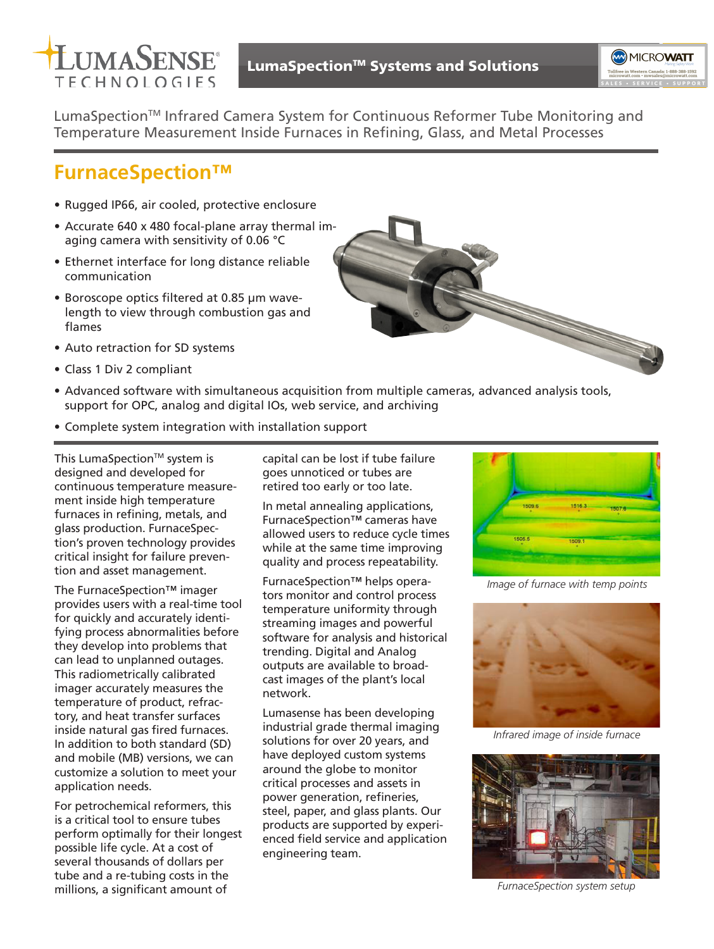



LumaSpection™ Infrared Camera System for Continuous Reformer Tube Monitoring and Temperature Measurement Inside Furnaces in Refining, Glass, and Metal Processes

# **FurnaceSpection™**

- Rugged IP66, air cooled, protective enclosure
- Accurate 640 x 480 focal-plane array thermal imaging camera with sensitivity of 0.06 °C
- Ethernet interface for long distance reliable communication
- Boroscope optics filtered at 0.85 μm wavelength to view through combustion gas and flames
- Auto retraction for SD systems
- Class 1 Div 2 compliant
- Advanced software with simultaneous acquisition from multiple cameras, advanced analysis tools, support for OPC, analog and digital IOs, web service, and archiving
- Complete system integration with installation support

This LumaSpection™ system is designed and developed for continuous temperature measurement inside high temperature furnaces in refining, metals, and glass production. FurnaceSpection's proven technology provides critical insight for failure prevention and asset management.

The FurnaceSpection™ imager provides users with a real-time tool for quickly and accurately identifying process abnormalities before they develop into problems that can lead to unplanned outages. This radiometrically calibrated imager accurately measures the temperature of product, refractory, and heat transfer surfaces inside natural gas fired furnaces. In addition to both standard (SD) and mobile (MB) versions, we can customize a solution to meet your application needs.

For petrochemical reformers, this is a critical tool to ensure tubes perform optimally for their longest possible life cycle. At a cost of several thousands of dollars per tube and a re-tubing costs in the millions, a significant amount of

capital can be lost if tube failure goes unnoticed or tubes are retired too early or too late.

In metal annealing applications, FurnaceSpection™ cameras have allowed users to reduce cycle times while at the same time improving quality and process repeatability.

FurnaceSpection™ helps operators monitor and control process temperature uniformity through streaming images and powerful software for analysis and historical trending. Digital and Analog outputs are available to broadcast images of the plant's local network.

Lumasense has been developing industrial grade thermal imaging solutions for over 20 years, and have deployed custom systems around the globe to monitor critical processes and assets in power generation, refineries, steel, paper, and glass plants. Our products are supported by experienced field service and application engineering team.





*Image of furnace with temp points*



*Infrared image of inside furnace*



*FurnaceSpection system setup*